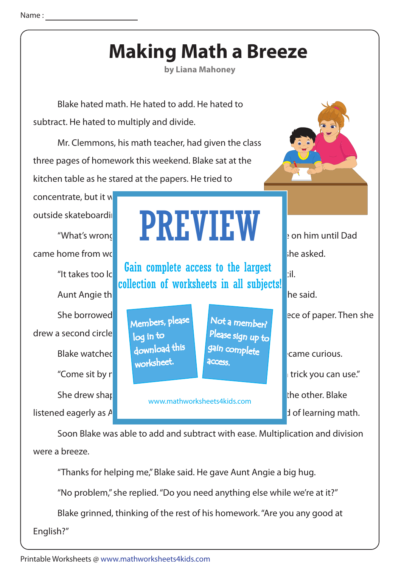## **Making Math a Breeze**

**by Liana Mahoney**

 Mr. Clemmons, his math teacher, had given the class three pages of homework this weekend. Blake sat at the kitchen table as he stared at the papers. He tried to concentrate, but it w outside skateboarding. Blake hated math. He hated to add. He hated to subtract. He hated to multiply and divide. Soon Blake was able to add and subtract with ease. Multiplication and division "What's wrong" **AUNT ANGIER WAS AUNT Angie.** Son him until Dad came home from work. "Why are not you do not you do not you do not you do not you do not you do not you do not "It takes too Ic **Gain complete access to the largest**  $\begin{bmatrix} 1 \\ 2 \end{bmatrix}$ . Aunt Angie thought for a moment is a moment of a moment. I have a moment in this I have said. "Come sit by network is a trick you can use." Blake watched and download the state was shell was shell was shell was shell was shell was shell was shell was shell was shell was shell was shell was shell was shell was shell was shell was shell was shell was shell was s She drew shapes on one circle, and she made pie slices on the other. Blake listened eagerly as Aunt Angie then expected her special method of learning math. She borrowed his notebook. She drew a large circle of paper. Then she drew a second circle PREVIEW www.mathworksheets4kids.com Members, please download this worksheet. log in to Not a member? gain complete Please sign up to **access** collection of worksheets in all subjects!

were a breeze.

"Thanks for helping me," Blake said. He gave Aunt Angie a big hug.

"No problem," she replied. "Do you need anything else while we're at it?"

Blake grinned, thinking of the rest of his homework. "Are you any good at

English?"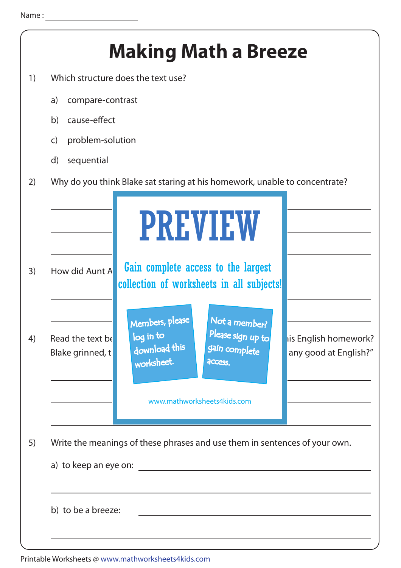|    | <b>Making Math a Breeze</b>                                                                                                                                                                                            |
|----|------------------------------------------------------------------------------------------------------------------------------------------------------------------------------------------------------------------------|
| 1) | Which structure does the text use?                                                                                                                                                                                     |
|    | a)<br>compare-contrast                                                                                                                                                                                                 |
|    | cause-effect<br>b)                                                                                                                                                                                                     |
|    | problem-solution<br>$\mathsf{C}$                                                                                                                                                                                       |
|    | d)<br>sequential                                                                                                                                                                                                       |
| 2) | Why do you think Blake sat staring at his homework, unable to concentrate?                                                                                                                                             |
|    | <b>PREVIEW</b>                                                                                                                                                                                                         |
| 3) | Gain complete access to the largest<br>How did Aunt A<br>collection of worksheets in all subjects!                                                                                                                     |
| 4) | Members, please<br>Not a member?<br>Please sign up to<br>log in to<br>Read the text be<br>is English homework?<br>download this<br>gain complete<br>any good at English?"<br>Blake grinned, t<br>worksheet.<br>access. |
|    | www.mathworksheets4kids.com                                                                                                                                                                                            |
| 5) | Write the meanings of these phrases and use them in sentences of your own.                                                                                                                                             |
|    |                                                                                                                                                                                                                        |
|    | b) to be a breeze:                                                                                                                                                                                                     |